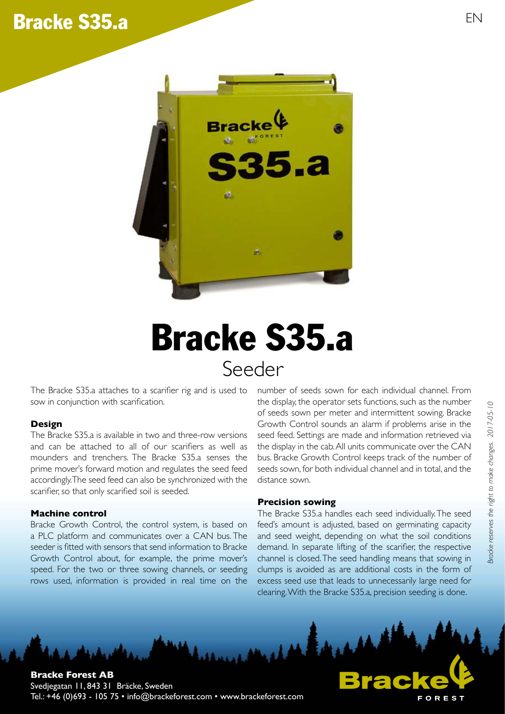# Bracke S35.a EN



# Seeder Bracke S35.a

The Bracke S35.a attaches to a scarifier rig and is used to sow in conjunction with scarification.

## **Design**

The Bracke S35.a is available in two and three-row versions and can be attached to all of our scarifiers as well as mounders and trenchers. The Bracke S35.a senses the prime mover's forward motion and regulates the seed feed accordingly. The seed feed can also be synchronized with the scarifier, so that only scarified soil is seeded.

#### **Machine control**

Bracke Growth Control, the control system, is based on a PLC platform and communicates over a CAN bus. The seeder is fitted with sensors that send information to Bracke Growth Control about, for example, the prime mover's speed. For the two or three sowing channels, or seeding rows used, information is provided in real time on the

number of seeds sown for each individual channel. From the display, the operator sets functions, such as the number of seeds sown per meter and intermittent sowing. Bracke Growth Control sounds an alarm if problems arise in the seed feed. Settings are made and information retrieved via the display in the cab. All units communicate over the CAN bus. Bracke Growth Control keeps track of the number of seeds sown, for both individual channel and in total, and the distance sown.

#### **Precision sowing**

The Bracke S35.a handles each seed individually. The seed feed's amount is adjusted, based on germinating capacity and seed weight, depending on what the soil conditions demand. In separate lifting of the scarifier, the respective channel is closed. The seed handling means that sowing in clumps is avoided as are additional costs in the form of excess seed use that leads to unnecessarily large need for clearing. With the Bracke S35.a, precision seeding is done.